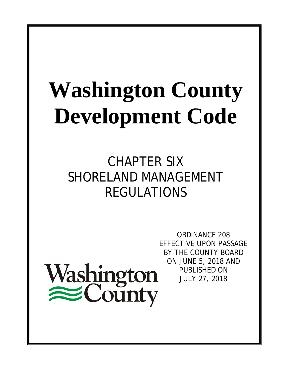# **Washington County Development Code**

CHAPTER SIX SHORELAND MANAGEMENT REGULATIONS

Washington<br>
County

ORDINANCE 208 EFFECTIVE UPON PASSAGE BY THE COUNTY BOARD ON JUNE 5, 2018 AND PUBLISHED ON JULY 27, 2018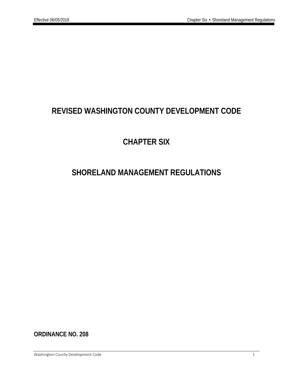# **REVISED WASHINGTON COUNTY DEVELOPMENT CODE**

# **CHAPTER SIX**

# **SHORELAND MANAGEMENT REGULATIONS**

**ORDINANCE NO. 208**

Washington County Development Code 1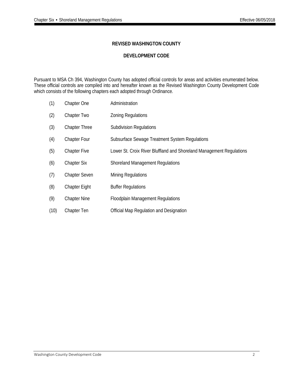# **REVISED WASHINGTON COUNTY**

# **DEVELOPMENT CODE**

Pursuant to MSA Ch 394, Washington County has adopted official controls for areas and activities enumerated below. These official controls are compiled into and hereafter known as the Revised Washington County Development Code which consists of the following chapters each adopted through Ordinance.

- (1) Chapter One Administration
- (2) Chapter Two Zoning Regulations
- (3) Chapter Three Subdivision Regulations
- (4) Chapter Four Subsurface Sewage Treatment System Regulations
- (5) Chapter Five Lower St. Croix River Bluffland and Shoreland Management Regulations
- (6) Chapter Six Shoreland Management Regulations
- (7) Chapter Seven Mining Regulations
- (8) Chapter Eight Buffer Regulations
- (9) Chapter Nine Floodplain Management Regulations
- (10) Chapter Ten Official Map Regulation and Designation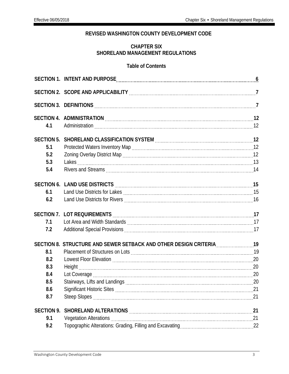# **REVISED WASHINGTON COUNTY DEVELOPMENT CODE**

# **CHAPTER SIX SHORELAND MANAGEMENT REGULATIONS**

# **Table of Contents**

| 4.1               |                                                                          |  |
|-------------------|--------------------------------------------------------------------------|--|
| <b>SECTION 5.</b> | SHORELAND CLASSIFICATION SYSTEM [[[[[[[[[[[[[[[[[[[[[[[]]]]]]]]]]]]]     |  |
| 5.1               |                                                                          |  |
| 5.2               |                                                                          |  |
| 5.3               |                                                                          |  |
| 5.4               |                                                                          |  |
|                   |                                                                          |  |
| 6.1               |                                                                          |  |
| 6.2               |                                                                          |  |
|                   |                                                                          |  |
|                   |                                                                          |  |
| 7.1               |                                                                          |  |
| 7.2               |                                                                          |  |
|                   | SECTION 8. STRUCTURE AND SEWER SETBACK AND OTHER DESIGN CRITERIA [19] 19 |  |
| 8.1               |                                                                          |  |
| 8.2               |                                                                          |  |
| 8.3               |                                                                          |  |
| 8.4               |                                                                          |  |
| 8.5               |                                                                          |  |
| 8.6               |                                                                          |  |
| 8.7               |                                                                          |  |
| <b>SECTION 9.</b> |                                                                          |  |
| 9.1               |                                                                          |  |
| 9.2               |                                                                          |  |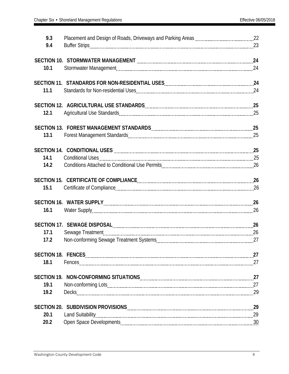| 9.3  |                                                                                                                                                                                                                                |    |
|------|--------------------------------------------------------------------------------------------------------------------------------------------------------------------------------------------------------------------------------|----|
| 9.4  |                                                                                                                                                                                                                                |    |
|      |                                                                                                                                                                                                                                |    |
|      | SECTION 10. STORMWATER MANAGEMENT MARKER MANAGEMENT MARKER MANAGEMENT MARKET MARKET MANAGEMENT MARKET MARKET MA                                                                                                                |    |
| 10.1 |                                                                                                                                                                                                                                |    |
|      |                                                                                                                                                                                                                                |    |
| 11.1 |                                                                                                                                                                                                                                |    |
|      |                                                                                                                                                                                                                                |    |
|      |                                                                                                                                                                                                                                |    |
| 12.1 |                                                                                                                                                                                                                                |    |
|      |                                                                                                                                                                                                                                |    |
| 13.1 |                                                                                                                                                                                                                                |    |
|      |                                                                                                                                                                                                                                |    |
|      |                                                                                                                                                                                                                                |    |
| 14.1 |                                                                                                                                                                                                                                |    |
| 14.2 |                                                                                                                                                                                                                                |    |
|      |                                                                                                                                                                                                                                |    |
|      |                                                                                                                                                                                                                                |    |
| 15.1 |                                                                                                                                                                                                                                |    |
|      | SECTION 16. WATER SUPPLY [111] 26 [12] 27 [12] 27 [12] 28 [12] 29 [12] 29 [12] 29 [12] 29 [12] 29 [12] 29 [12] 29 [12] 29 [12] 29 [12] 29 [12] 29 [12] 29 [12] 29 [12] 29 [12] 29 [12] 29 [12] 29 [12] 29 [12] 29 [12] 29 [12] |    |
| 16.1 |                                                                                                                                                                                                                                |    |
|      |                                                                                                                                                                                                                                |    |
|      | SECTION 17. SEWAGE DISPOSAL Entertainmal and the contract of the DISPOSAL entertainmal and the contract of the                                                                                                                 |    |
| 17.1 |                                                                                                                                                                                                                                |    |
| 17.2 |                                                                                                                                                                                                                                |    |
|      |                                                                                                                                                                                                                                |    |
| 18.1 |                                                                                                                                                                                                                                | 27 |
|      |                                                                                                                                                                                                                                |    |
|      |                                                                                                                                                                                                                                |    |
| 19.1 |                                                                                                                                                                                                                                |    |
| 19.2 |                                                                                                                                                                                                                                |    |
|      |                                                                                                                                                                                                                                | 29 |
| 20.1 |                                                                                                                                                                                                                                | 29 |
| 20.2 |                                                                                                                                                                                                                                |    |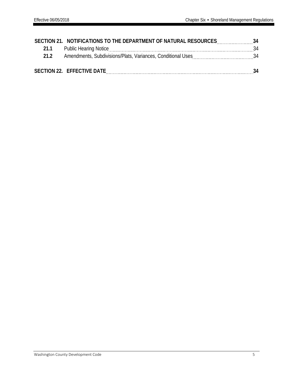|      | SECTION 21. NOTIFICATIONS TO THE DEPARTMENT OF NATURAL RESOURCES | 34 |
|------|------------------------------------------------------------------|----|
| 21.1 |                                                                  | 34 |
| 212  | Amendments, Subdivisions/Plats, Variances, Conditional Uses      | 34 |
|      |                                                                  |    |
|      | SECTION 22. EFFECTIVE DATE                                       | 34 |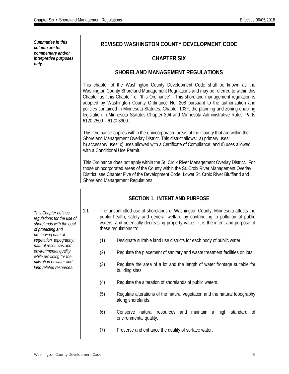*Summaries in this column are for commentary and/or interpretive purposes only.*

# **REVISED WASHINGTON COUNTY DEVELOPMENT CODE**

# **CHAPTER SIX**

# **SHORELAND MANAGEMENT REGULATIONS**

This chapter of the Washington County Development Code shall be known as the Washington County Shoreland Management Regulations and may be referred to within this Chapter as "this Chapter" or "this Ordinance". This shoreland management regulation is adopted by Washington County Ordinance No. 208 pursuant to the authorization and policies contained in Minnesota Statutes, Chapter 103F, the planning and zoning enabling legislation in Minnesota Statutes Chapter 394 and Minnesota Administrative Rules, Parts 6120.2500 – 6120.3900.

This Ordinance applies within the unincorporated areas of the County that are within the Shoreland Management Overlay District. This district allows: a) primary uses; b) accessory uses; c) uses allowed with a Certificate of Compliance; and d) uses allowed with a Conditional Use Permit.

This Ordinance does not apply within the St. Croix River Management Overlay District. For those unincorporated areas of the County within the St. Croix River Management Overlay District, see Chapter Five of the Development Code, Lower St. Croix River Bluffland and Shoreland Management Regulations.

# **SECTION 1. INTENT AND PURPOSE**

**1.1** The uncontrolled use of shorelands of Washington County, Minnesota affects the public health, safety and general welfare by contributing to pollution of public waters, and potentially decreasing property value. It is the intent and purpose of these regulations to:

- (1) Designate suitable land use districts for each body of public water.
- (2) Regulate the placement of sanitary and waste treatment facilities on lots.
- (3) Regulate the area of a lot and the length of water frontage suitable for building sites.
- (4) Regulate the alteration of shorelands of public waters.
- (5) Regulate alterations of the natural vegetation and the natural topography along shorelands.
- (6) Conserve natural resources and maintain a high standard of environmental quality.
- (7) Preserve and enhance the quality of surface water.

*This Chapter defines regulations for the use of shorelands with the goal of protecting and preserving natural vegetation, topography, natural resources and environmental quality while providing for the utilization of water and land related resources.*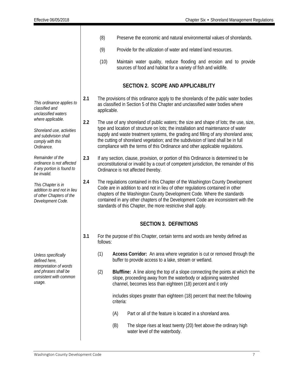|                                                                                                           |     | (8)         | Preserve the economic and natural environmental values of shorelands.                                                                                                                                                                                                                                                                                                                                                                  |
|-----------------------------------------------------------------------------------------------------------|-----|-------------|----------------------------------------------------------------------------------------------------------------------------------------------------------------------------------------------------------------------------------------------------------------------------------------------------------------------------------------------------------------------------------------------------------------------------------------|
|                                                                                                           |     | (9)         | Provide for the utilization of water and related land resources.                                                                                                                                                                                                                                                                                                                                                                       |
|                                                                                                           |     | (10)        | Maintain water quality, reduce flooding and erosion and to provide<br>sources of food and habitat for a variety of fish and wildlife.                                                                                                                                                                                                                                                                                                  |
|                                                                                                           |     |             | <b>SECTION 2. SCOPE AND APPLICABILITY</b>                                                                                                                                                                                                                                                                                                                                                                                              |
| This ordinance applies to<br>classified and<br>unclassified waters                                        | 2.1 | applicable. | The provisions of this ordinance apply to the shorelands of the public water bodies<br>as classified in Section 5 of this Chapter and unclassified water bodies where                                                                                                                                                                                                                                                                  |
| where applicable.<br>Shoreland use, activities<br>and subdivision shall<br>comply with this<br>Ordinance. | 2.2 |             | The use of any shoreland of public waters; the size and shape of lots; the use, size,<br>type and location of structure on lots; the installation and maintenance of water<br>supply and waste treatment systems, the grading and filling of any shoreland area;<br>the cutting of shoreland vegetation; and the subdivision of land shall be in full<br>compliance with the terms of this Ordinance and other applicable regulations. |
| Remainder of the<br>ordinance is not affected<br>if any portion is found to<br>be invalid.                | 2.3 |             | If any section, clause, provision, or portion of this Ordinance is determined to be<br>unconstitutional or invalid by a court of competent jurisdiction, the remainder of this<br>Ordinance is not affected thereby.                                                                                                                                                                                                                   |
| This Chapter is in<br>addition to and not in lieu<br>of other Chapters of the<br>Development Code.        | 2.4 |             | The regulations contained in this Chapter of the Washington County Development<br>Code are in addition to and not in lieu of other regulations contained in other<br>chapters of the Washington County Development Code. Where the standards<br>contained in any other chapters of the Development Code are inconsistent with the<br>standards of this Chapter, the more restrictive shall apply.                                      |
|                                                                                                           |     |             | <b>SECTION 3. DEFINITIONS</b>                                                                                                                                                                                                                                                                                                                                                                                                          |
|                                                                                                           | 3.1 | follows:    | For the purpose of this Chapter, certain terms and words are hereby defined as                                                                                                                                                                                                                                                                                                                                                         |
| Unless specifically<br>defined here,<br>interpretation of words                                           |     | (1)         | Access Corridor: An area where vegetation is cut or removed through the<br>buffer to provide access to a lake, stream or wetland.                                                                                                                                                                                                                                                                                                      |
| and phrases shall be<br>consistent with common<br>usage.                                                  |     | (2)         | <b>Bluffline:</b> A line along the top of a slope connecting the points at which the<br>slope, proceeding away from the waterbody or adjoining watershed<br>channel, becomes less than eighteen (18) percent and it only                                                                                                                                                                                                               |
|                                                                                                           |     |             | includes slopes greater than eighteen (18) percent that meet the following<br>criteria:                                                                                                                                                                                                                                                                                                                                                |
|                                                                                                           |     |             | Part or all of the feature is located in a shoreland area.<br>(A)                                                                                                                                                                                                                                                                                                                                                                      |
|                                                                                                           |     |             | (B)<br>The slope rises at least twenty (20) feet above the ordinary high<br>water level of the waterbody.                                                                                                                                                                                                                                                                                                                              |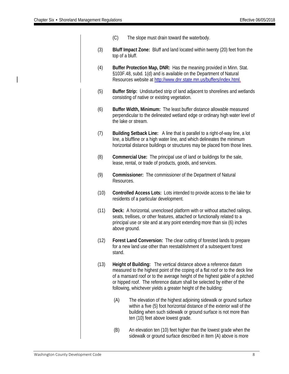- (C) The slope must drain toward the waterbody.
- (3) **Bluff Impact Zone:** Bluff and land located within twenty (20) feet from the top of a bluff.
- (4) **Buffer Protection Map, DNR:** Has the meaning provided in Minn. Stat. §103F.48, subd. 1(d) and is available on the Department of Natural Resources website at [http://www.dnr.state.mn.us/buffers/index.html.](http://www.dnr.state.mn.us/buffers/index.html)
- (5) **Buffer Strip:** Undisturbed strip of land adjacent to shorelines and wetlands consisting of native or existing vegetation.
- (6) **Buffer Width, Minimum:** The least buffer distance allowable measured perpendicular to the delineated wetland edge or ordinary high water level of the lake or stream.
- (7) **Building Setback Line:** A line that is parallel to a right-of-way line, a lot line, a bluffline or a high water line, and which delineates the minimum horizontal distance buildings or structures may be placed from those lines.
- (8) **Commercial Use:** The principal use of land or buildings for the sale, lease, rental, or trade of products, goods, and services.
- (9) **Commissioner:** The commissioner of the Department of Natural Resources.
- (10) **Controlled Access Lots:** Lots intended to provide access to the lake for residents of a particular development.
- (11) **Deck:** A horizontal, unenclosed platform with or without attached railings, seats, trellises, or other features, attached or functionally related to a principal use or site and at any point extending more than six (6) inches above ground.
- (12) **Forest Land Conversion:** The clear cutting of forested lands to prepare for a new land use other than reestablishment of a subsequent forest stand.
- (13) **Height of Building:** The vertical distance above a reference datum measured to the highest point of the coping of a flat roof or to the deck line of a mansard roof or to the average height of the highest gable of a pitched or hipped roof. The reference datum shall be selected by either of the following, whichever yields a greater height of the building:
	- (A) The elevation of the highest adjoining sidewalk or ground surface within a five (5) foot horizontal distance of the exterior wall of the building when such sidewalk or ground surface is not more than ten (10) feet above lowest grade.
	- (B) An elevation ten (10) feet higher than the lowest grade when the sidewalk or ground surface described in Item (A) above is more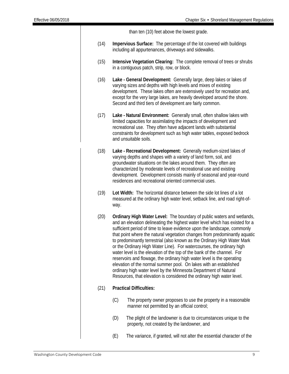than ten (10) feet above the lowest grade.

- (14) **Impervious Surface:** The percentage of the lot covered with buildings including all appurtenances, driveways and sidewalks.
- (15) **Intensive Vegetation Clearing:** The complete removal of trees or shrubs in a contiguous patch, strip, row, or block.
- (16) **Lake - General Development:** Generally large, deep lakes or lakes of varying sizes and depths with high levels and mixes of existing development. These lakes often are extensively used for recreation and, except for the very large lakes, are heavily developed around the shore. Second and third tiers of development are fairly common.
- (17) **Lake - Natural Environment:** Generally small, often shallow lakes with limited capacities for assimilating the impacts of development and recreational use. They often have adjacent lands with substantial constraints for development such as high water tables, exposed bedrock and unsuitable soils.
- (18) **Lake - Recreational Development:** Generally medium-sized lakes of varying depths and shapes with a variety of land form, soil, and groundwater situations on the lakes around them. They often are characterized by moderate levels of recreational use and existing development. Development consists mainly of seasonal and year-round residences and recreational oriented commercial uses.
- (19) **Lot Width:** The horizontal distance between the side lot lines of a lot measured at the ordinary high water level, setback line, and road right-ofway.
- (20) **Ordinary High Water Level:** The boundary of public waters and wetlands, and an elevation delineating the highest water level which has existed for a sufficient period of time to leave evidence upon the landscape, commonly that point where the natural vegetation changes from predominantly aquatic to predominantly terrestrial (also known as the Ordinary High Water Mark or the Ordinary High Water Line). For watercourses, the ordinary high water level is the elevation of the top of the bank of the channel. For reservoirs and flowage, the ordinary high water level is the operating elevation of the normal summer pool. On lakes with an established ordinary high water level by the Minnesota Department of Natural Resources, that elevation is considered the ordinary high water level.

# (21) **Practical Difficulties:**

- (C) The property owner proposes to use the property in a reasonable manner not permitted by an official control;
- (D) The plight of the landowner is due to circumstances unique to the property, not created by the landowner, and
- (E) The variance, if granted, will not alter the essential character of the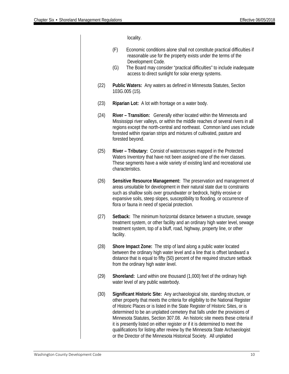locality. (F) Economic conditions alone shall not constitute practical difficulties if reasonable use for the property exists under the terms of the Development Code. (G) The Board may consider "practical difficulties" to include inadequate access to direct sunlight for solar energy systems. (22) **Public Waters:** Any waters as defined in Minnesota Statutes, Section 103G.005 (15). (23) **Riparian Lot:** A lot with frontage on a water body. (24) **River – Transition:** Generally either located within the Minnesota and Mississippi river valleys, or within the middle reaches of several rivers in all regions except the north-central and northeast. Common land uses include forested within riparian strips and mixtures of cultivated, pasture and forested beyond. (25) **River – Tributary:** Consist of watercourses mapped in the Protected Waters Inventory that have not been assigned one of the river classes. These segments have a wide variety of existing land and recreational use characteristics. (26) **Sensitive Resource Management:** The preservation and management of areas unsuitable for development in their natural state due to constraints such as shallow soils over groundwater or bedrock, highly erosive or expansive soils, steep slopes, susceptibility to flooding, or occurrence of flora or fauna in need of special protection. (27) **Setback:** The minimum horizontal distance between a structure, sewage treatment system, or other facility and an ordinary high water level, sewage treatment system, top of a bluff, road, highway, property line, or other facility. (28) **Shore Impact Zone:** The strip of land along a public water located between the ordinary high water level and a line that is offset landward a distance that is equal to fifty (50) percent of the required structure setback from the ordinary high water level. (29) **Shoreland:** Land within one thousand (1,000) feet of the ordinary high water level of any public waterbody. (30) **Significant Historic Site:** Any archaeological site, standing structure, or other property that meets the criteria for eligibility to the National Register of Historic Places or is listed in the State Register of Historic Sites, or is determined to be an unplatted cemetery that falls under the provisions of Minnesota Statutes, Section 307.08. An historic site meets these criteria if it is presently listed on either register or if it is determined to meet the qualifications for listing after review by the Minnesota State Archaeologist

or the Director of the Minnesota Historical Society. All unplatted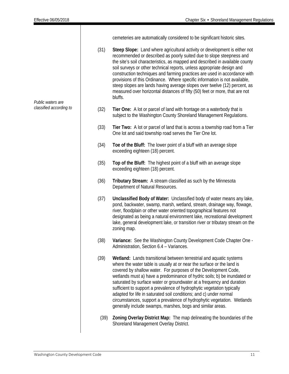Τ

|                         |      | cemeteries are automatically considered to be significant historic sites.                                                                                                                                                                                                                                                                                                                                                                                                                                                                                                                                                                                      |
|-------------------------|------|----------------------------------------------------------------------------------------------------------------------------------------------------------------------------------------------------------------------------------------------------------------------------------------------------------------------------------------------------------------------------------------------------------------------------------------------------------------------------------------------------------------------------------------------------------------------------------------------------------------------------------------------------------------|
| Public waters are       | (31) | Steep Slope: Land where agricultural activity or development is either not<br>recommended or described as poorly suited due to slope steepness and<br>the site's soil characteristics, as mapped and described in available county<br>soil surveys or other technical reports, unless appropriate design and<br>construction techniques and farming practices are used in accordance with<br>provisions of this Ordinance. Where specific information is not available,<br>steep slopes are lands having average slopes over twelve (12) percent, as<br>measured over horizontal distances of fifty (50) feet or more, that are not<br>bluffs.                 |
| classified according to | (32) | Tier One: A lot or parcel of land with frontage on a waterbody that is<br>subject to the Washington County Shoreland Management Regulations.                                                                                                                                                                                                                                                                                                                                                                                                                                                                                                                   |
|                         | (33) | Tier Two: A lot or parcel of land that is across a township road from a Tier<br>One lot and said township road serves the Tier One lot.                                                                                                                                                                                                                                                                                                                                                                                                                                                                                                                        |
|                         | (34) | Toe of the Bluff: The lower point of a bluff with an average slope<br>exceeding eighteen (18) percent.                                                                                                                                                                                                                                                                                                                                                                                                                                                                                                                                                         |
|                         | (35) | Top of the Bluff: The highest point of a bluff with an average slope<br>exceeding eighteen (18) percent.                                                                                                                                                                                                                                                                                                                                                                                                                                                                                                                                                       |
|                         | (36) | Tributary Stream: A stream classified as such by the Minnesota<br>Department of Natural Resources.                                                                                                                                                                                                                                                                                                                                                                                                                                                                                                                                                             |
|                         | (37) | Unclassified Body of Water: Unclassified body of water means any lake,<br>pond, backwater, swamp, marsh, wetland, stream, drainage way, flowage,<br>river, floodplain or other water oriented topographical features not<br>designated as being a natural environment lake, recreational development<br>lake, general development lake, or transition river or tributary stream on the<br>zoning map.                                                                                                                                                                                                                                                          |
|                         | (38) | Variance: See the Washington County Development Code Chapter One -<br>Administration, Section 6.4 - Variances.                                                                                                                                                                                                                                                                                                                                                                                                                                                                                                                                                 |
|                         | (39) | Wetland: Lands transitional between terrestrial and aquatic systems<br>where the water table is usually at or near the surface or the land is<br>covered by shallow water. For purposes of the Development Code,<br>wetlands must a) have a predominance of hydric soils; b) be inundated or<br>saturated by surface water or groundwater at a frequency and duration<br>sufficient to support a prevalence of hydrophytic vegetation typically<br>adapted for life in saturated soil conditions; and c) under normal<br>circumstances, support a prevalence of hydrophytic vegetation. Wetlands<br>generally include swamps, marshes, bogs and similar areas. |
|                         | (39) | Zoning Overlay District Map: The map delineating the boundaries of the<br>Shoreland Management Overlay District.                                                                                                                                                                                                                                                                                                                                                                                                                                                                                                                                               |

 $\overline{\phantom{a}}$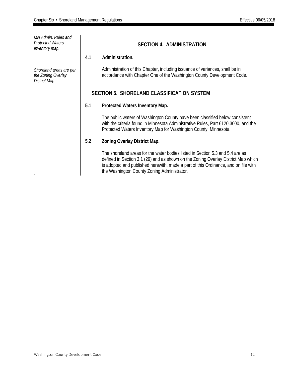*MN Admin. Rules and Protected Waters Inventory map.*

*Shoreland areas are per the Zoning Overlay District Map.*

*.*

# **SECTION 4. ADMINISTRATION**

# **4.1 Administration.**

Administration of this Chapter, including issuance of variances, shall be in accordance with Chapter One of the Washington County Development Code.

# **SECTION 5. SHORELAND CLASSIFICATION SYSTEM**

# **5.1 Protected Waters Inventory Map.**

The public waters of Washington County have been classified below consistent with the criteria found in Minnesota Administrative Rules, Part 6120.3000, and the Protected Waters Inventory Map for Washington County, Minnesota.

# **5.2 Zoning Overlay District Map.**

The shoreland areas for the water bodies listed in Section 5.3 and 5.4 are as defined in Section 3.1 (29) and as shown on the Zoning Overlay District Map which is adopted and published herewith, made a part of this Ordinance, and on file with the Washington County Zoning Administrator.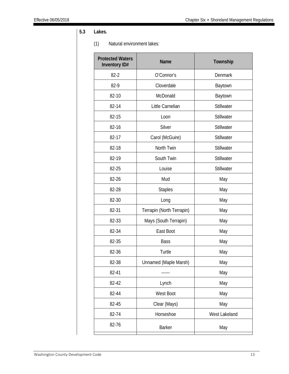# **5.3 Lakes.**

# (1) Natural environment lakes:

| <b>Protected Waters</b><br><b>Inventory ID#</b> | <b>Name</b>               | Township       |
|-------------------------------------------------|---------------------------|----------------|
| $82 - 2$                                        | O'Connor's                | <b>Denmark</b> |
| 82-9                                            | Cloverdale                | Baytown        |
| 82-10                                           | McDonald                  | Baytown        |
| 82-14                                           | Little Carnelian          | Stillwater     |
| 82-15                                           | Loon                      | Stillwater     |
| 82-16                                           | Silver                    | Stillwater     |
| 82-17                                           | Carol (McGuire)           | Stillwater     |
| 82-18                                           | North Twin                | Stillwater     |
| 82-19                                           | South Twin                | Stillwater     |
| 82-25                                           | Louise                    | Stillwater     |
| 82-26                                           | Mud                       | May            |
| 82-28                                           | <b>Staples</b>            | May            |
| 82-30                                           | Long                      | May            |
| 82-31                                           | Terrapin (North Terrapin) | May            |
| 82-33                                           | Mays (South Terrapin)     | May            |
| 82-34                                           | East Boot                 | May            |
| 82-35                                           | <b>Bass</b>               | May            |
| 82-36                                           | Turtle                    | May            |
| 82-38                                           | Unnamed (Maple Marsh)     | May            |
| 82-41                                           |                           | May            |
| 82-42                                           | Lynch                     | May            |
| 82-44                                           | West Boot                 | May            |
| 82-45                                           | Clear (Mays)              | May            |
| 82-74                                           | Horseshoe                 | West Lakeland  |
| 82-76                                           | <b>Barker</b>             | May            |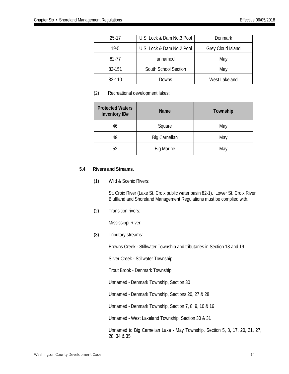| $25-17$  | U.S. Lock & Dam No.3 Pool | <b>Denmark</b>    |
|----------|---------------------------|-------------------|
| $19 - 5$ | U.S. Lock & Dam No.2 Pool | Grey Cloud Island |
| 82-77    | unnamed                   | May               |
| 82-151   | South School Section      | May               |
| 82-110   | Downs                     | West Lakeland     |

# (2) Recreational development lakes:

| <b>Protected Waters</b><br>Inventory ID# | <b>Name</b>          | Township |
|------------------------------------------|----------------------|----------|
| 46                                       | Square               | May      |
| 49                                       | <b>Big Carnelian</b> | May      |
| 52                                       | <b>Big Marine</b>    | May      |

# **5.4 Rivers and Streams.**

# (1) Wild & Scenic Rivers:

St. Croix River (Lake St. Croix public water basin 82-1). Lower St. Croix River Bluffland and Shoreland Management Regulations must be complied with.

## (2) Transition rivers:

Mississippi River

(3) Tributary streams:

Browns Creek - Stillwater Township and tributaries in Section 18 and 19

Silver Creek - Stillwater Township

Trout Brook - Denmark Township

Unnamed - Denmark Township, Section 30

Unnamed - Denmark Township, Sections 20, 27 & 28

Unnamed - Denmark Township, Section 7, 8, 9, 10 & 16

Unnamed - West Lakeland Township, Section 30 & 31

Unnamed to Big Carnelian Lake - May Township, Section 5, 8, 17, 20, 21, 27, 28, 34 & 35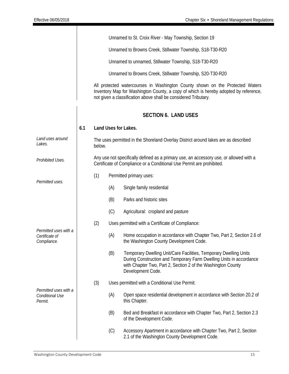|                                                        |     |        |     | Unnamed to St. Croix River - May Township, Section 19                                                                                                                                                                                    |
|--------------------------------------------------------|-----|--------|-----|------------------------------------------------------------------------------------------------------------------------------------------------------------------------------------------------------------------------------------------|
|                                                        |     |        |     | Unnamed to Browns Creek, Stillwater Township, S18-T30-R20                                                                                                                                                                                |
|                                                        |     |        |     | Unnamed to unnamed, Stillwater Township, S18-T30-R20                                                                                                                                                                                     |
|                                                        |     |        |     | Unnamed to Browns Creek, Stillwater Township, S20-T30-R20                                                                                                                                                                                |
|                                                        |     |        |     | All protected watercourses in Washington County shown on the Protected Waters<br>Inventory Map for Washington County, a copy of which is hereby adopted by reference,<br>not given a classification above shall be considered Tributary. |
|                                                        |     |        |     | <b>SECTION 6. LAND USES</b>                                                                                                                                                                                                              |
|                                                        | 6.1 |        |     | Land Uses for Lakes.                                                                                                                                                                                                                     |
| Land uses around<br>Lakes.                             |     | below. |     | The uses permitted in the Shoreland Overlay District around lakes are as described                                                                                                                                                       |
| Prohibited Uses.                                       |     |        |     | Any use not specifically defined as a primary use, an accessory use, or allowed with a<br>Certificate of Compliance or a Conditional Use Permit are prohibited.                                                                          |
| Permitted uses.                                        |     | (1)    |     | Permitted primary uses:                                                                                                                                                                                                                  |
|                                                        |     |        | (A) | Single family residential                                                                                                                                                                                                                |
|                                                        |     |        | (B) | Parks and historic sites                                                                                                                                                                                                                 |
|                                                        |     |        | (C) | Agricultural: cropland and pasture                                                                                                                                                                                                       |
|                                                        |     | (2)    |     | Uses permitted with a Certificate of Compliance:                                                                                                                                                                                         |
| Permitted uses with a<br>Certificate of<br>Compliance. |     |        | (A) | Home occupation in accordance with Chapter Two, Part 2, Section 2.6 of<br>the Washington County Development Code.                                                                                                                        |
|                                                        |     |        | (B) | Temporary Dwelling Unit/Care Facilities, Temporary Dwelling Units<br>During Construction and Temporary Farm Dwelling Units in accordance<br>with Chapter Two, Part 2, Section 2 of the Washington County<br>Development Code.            |
|                                                        |     | (3)    |     | Uses permitted with a Conditional Use Permit:                                                                                                                                                                                            |
| Permitted uses with a<br>Conditional Use<br>Permit.    |     |        | (A) | Open space residential development in accordance with Section 20.2 of<br>this Chapter.                                                                                                                                                   |
|                                                        |     |        | (B) | Bed and Breakfast in accordance with Chapter Two, Part 2, Section 2.3<br>of the Development Code.                                                                                                                                        |
|                                                        |     |        | (C) | Accessory Apartment in accordance with Chapter Two, Part 2, Section<br>2.1 of the Washington County Development Code.                                                                                                                    |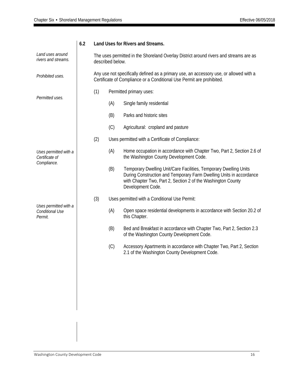| Land uses around<br>rivers and streams.             |     | described below.                                                                                                                                                | The uses permitted in the Shoreland Overlay District around rivers and streams are as                                                                                                                                         |
|-----------------------------------------------------|-----|-----------------------------------------------------------------------------------------------------------------------------------------------------------------|-------------------------------------------------------------------------------------------------------------------------------------------------------------------------------------------------------------------------------|
| Prohibited uses.                                    |     | Any use not specifically defined as a primary use, an accessory use, or allowed with a<br>Certificate of Compliance or a Conditional Use Permit are prohibited. |                                                                                                                                                                                                                               |
|                                                     | (1) |                                                                                                                                                                 | Permitted primary uses:                                                                                                                                                                                                       |
| Permitted uses.                                     |     | (A)                                                                                                                                                             | Single family residential                                                                                                                                                                                                     |
|                                                     |     | (B)                                                                                                                                                             | Parks and historic sites                                                                                                                                                                                                      |
|                                                     |     | (C)                                                                                                                                                             | Agricultural: cropland and pasture                                                                                                                                                                                            |
|                                                     | (2) |                                                                                                                                                                 | Uses permitted with a Certificate of Compliance:                                                                                                                                                                              |
| Uses permitted with a<br>Certificate of             |     | (A)                                                                                                                                                             | Home occupation in accordance with Chapter Two, Part 2, Section 2.6 of<br>the Washington County Development Code.                                                                                                             |
| Compliance.                                         |     | (B)                                                                                                                                                             | Temporary Dwelling Unit/Care Facilities, Temporary Dwelling Units<br>During Construction and Temporary Farm Dwelling Units in accordance<br>with Chapter Two, Part 2, Section 2 of the Washington County<br>Development Code. |
|                                                     | (3) |                                                                                                                                                                 | Uses permitted with a Conditional Use Permit:                                                                                                                                                                                 |
| Uses permitted with a<br>Conditional Use<br>Permit. |     | (A)                                                                                                                                                             | Open space residential developments in accordance with Section 20.2 of<br>this Chapter.                                                                                                                                       |
|                                                     |     | (B)                                                                                                                                                             | Bed and Breakfast in accordance with Chapter Two, Part 2, Section 2.3<br>of the Washington County Development Code.                                                                                                           |
|                                                     |     | (C)                                                                                                                                                             | Accessory Apartments in accordance with Chapter Two, Part 2, Section<br>2.1 of the Washington County Development Code.                                                                                                        |
|                                                     |     |                                                                                                                                                                 |                                                                                                                                                                                                                               |
|                                                     |     |                                                                                                                                                                 |                                                                                                                                                                                                                               |
|                                                     |     |                                                                                                                                                                 |                                                                                                                                                                                                                               |
|                                                     |     |                                                                                                                                                                 |                                                                                                                                                                                                                               |
|                                                     |     |                                                                                                                                                                 |                                                                                                                                                                                                                               |
|                                                     |     |                                                                                                                                                                 |                                                                                                                                                                                                                               |

# **6.2 Land Uses for Rivers and Streams.**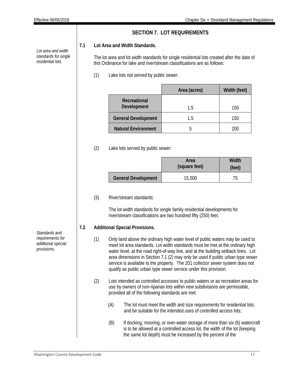*Lot area and width standards for single residential lots.*

# **SECTION 7. LOT REQUIREMENTS**

# **7.1 Lot Area and Width Standards.**

The lot area and lot width standards for single residential lots created after the date of this Ordinance for lake and river/stream classifications are as follows:

(1) Lake lots not served by public sewer:

|                             | Area (acres) | Width (feet) |
|-----------------------------|--------------|--------------|
| Recreational<br>Development | 15           | 150          |
| <b>General Development</b>  | 1.5          | 150          |
| <b>Natural Environment</b>  | h            | 200          |

# (2) Lake lots served by public sewer:

|                            | Area<br>(square feet) | Width<br>(feet) |
|----------------------------|-----------------------|-----------------|
| <b>General Development</b> | 15,000                |                 |

# (3) River/stream standards:

The lot width standards for single family residential developments for river/stream classifications are two hundred fifty (250) feet.

# **7.2 Additional Special Provisions.**

- (1) Only land above the ordinary high water level of public waters may be used to meet lot area standards. Lot width standards must be met at the ordinary high water level, at the road right-of-way line, and at the building setback lines. Lot area dimensions in Section 7.1 (2) may only be used if public urban type sewer service is available to the property. The 201 collector sewer system does not qualify as public urban type sewer service under this provision.
- (2) Lots intended as controlled accesses to public waters or as recreation areas for use by owners of non-riparian lots within new subdivisions are permissible, provided all of the following standards are met:
	- (A) The lot must meet the width and size requirements for residential lots, and be suitable for the intended uses of controlled access lots;
	- (B) If docking, mooring, or over-water storage of more than six (6) watercraft is to be allowed at a controlled access lot, the width of the lot (keeping the same lot depth) must be increased by the percent of the

*Standards and requirements for additional special provisions.*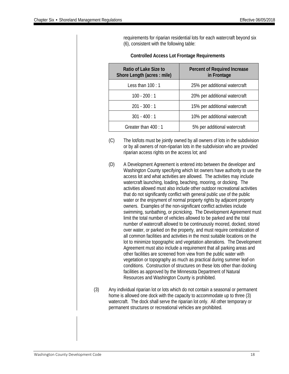requirements for riparian residential lots for each watercraft beyond six (6), consistent with the following table:

| Ratio of Lake Size to<br>Shore Length (acres : mile) | <b>Percent of Required Increase</b><br>in Frontage |
|------------------------------------------------------|----------------------------------------------------|
| Less than $100:1$                                    | 25% per additional watercraft                      |
| $100 - 200 : 1$                                      | 20% per additional watercraft                      |
| $201 - 300 : 1$                                      | 15% per additional watercraft                      |
| $301 - 400 : 1$                                      | 10% per additional watercraft                      |
| Greater than 400 : 1                                 | 5% per additional watercraft                       |

## **Controlled Access Lot Frontage Requirements**

- (C) The lot/lots must be jointly owned by all owners of lots in the subdivision or by all owners of non-riparian lots in the subdivision who are provided riparian access rights on the access lot; and
- (D) A Development Agreement is entered into between the developer and Washington County specifying which lot owners have authority to use the access lot and what activities are allowed. The activities may include watercraft launching, loading, beaching, mooring, or docking. The activities allowed must also include other outdoor recreational activities that do not significantly conflict with general public use of the public water or the enjoyment of normal property rights by adjacent property owners. Examples of the non-significant conflict activities include swimming, sunbathing, or picnicking. The Development Agreement must limit the total number of vehicles allowed to be parked and the total number of watercraft allowed to be continuously moored, docked, stored over water, or parked on the property, and must require centralization of all common facilities and activities in the most suitable locations on the lot to minimize topographic and vegetation alterations. The Development Agreement must also include a requirement that all parking areas and other facilities are screened from view from the public water with vegetation or topography as much as practical during summer leaf-on conditions. Construction of structures on these lots other than docking facilities as approved by the Minnesota Department of Natural Resources and Washington County is prohibited.
- (3) Any individual riparian lot or lots which do not contain a seasonal or permanent home is allowed one dock with the capacity to accommodate up to three (3) watercraft. The dock shall serve the riparian lot only. All other temporary or permanent structures or recreational vehicles are prohibited.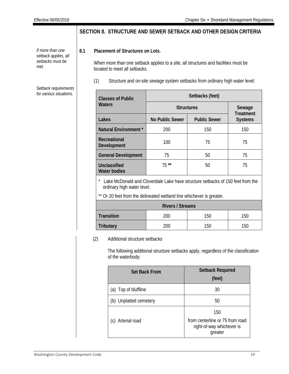# **SECTION 8. STRUCTURE AND SEWER SETBACK AND OTHER DESIGN CRITERIA**

# **8.1 Placement of Structures on Lots.**

When more than one setback applies to a site, all structures and facilities must be located to meet all setbacks.

(1) Structure and on-site sewage system setbacks from ordinary high water level:

| <b>Classes of Public</b>            | Setbacks (feet)        |                     |                                    |  |  |  |
|-------------------------------------|------------------------|---------------------|------------------------------------|--|--|--|
| Waters                              | <b>Structures</b>      | Sewage              |                                    |  |  |  |
| Lakes                               | <b>No Public Sewer</b> | <b>Public Sewer</b> | <b>Treatment</b><br><b>Systems</b> |  |  |  |
| Natural Environment *               | 200                    | 150                 | 150                                |  |  |  |
| Recreational<br>Development         | 100                    | 75                  | 75                                 |  |  |  |
| <b>General Development</b>          | 75                     | 50                  | 75                                 |  |  |  |
| Unclassified<br><b>Water bodies</b> | $75**$                 | 50                  | 75                                 |  |  |  |

\* Lake McDonald and Cloverdale Lake have structure setbacks of 150 feet from the ordinary high water level.

\*\* Or 20 feet from the delineated wetland line whichever is greater.

| <b>Rivers / Streams</b> |     |     |     |  |  |  |  |
|-------------------------|-----|-----|-----|--|--|--|--|
| <b>Transition</b>       | 200 | 150 | 150 |  |  |  |  |
| <b>Tributary</b>        | 200 | 150 | 150 |  |  |  |  |

# (2) Additional structure setbacks

The following additional structure setbacks apply, regardless of the classification of the waterbody:

| <b>Set Back From</b>   | <b>Setback Required</b><br>(feet)                                              |  |  |
|------------------------|--------------------------------------------------------------------------------|--|--|
| (a) Top of bluffline   | 30                                                                             |  |  |
| (b) Unplatted cemetery | 50                                                                             |  |  |
| (c) Arterial road      | 150<br>from centerline or 75 from road<br>right-of-way whichever is<br>greater |  |  |

*If more than one setback applies, all setbacks must be met.*

*Setback requirements for various situations.*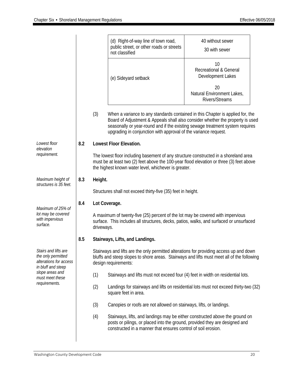|                                                                                            |     |                                 | (d) Right-of-way line of town road,<br>public street, or other roads or streets<br>not classified                                                                                                                                                                                                                    | 40 without sewer<br>30 with sewer                            |  |  |  |  |
|--------------------------------------------------------------------------------------------|-----|---------------------------------|----------------------------------------------------------------------------------------------------------------------------------------------------------------------------------------------------------------------------------------------------------------------------------------------------------------------|--------------------------------------------------------------|--|--|--|--|
|                                                                                            |     |                                 | (e) Sideyard setback                                                                                                                                                                                                                                                                                                 | 10<br><b>Recreational &amp; General</b><br>Development Lakes |  |  |  |  |
|                                                                                            |     |                                 |                                                                                                                                                                                                                                                                                                                      | 20<br>Natural Environment Lakes,<br><b>Rivers/Streams</b>    |  |  |  |  |
|                                                                                            |     | (3)                             | When a variance to any standards contained in this Chapter is applied for, the<br>Board of Adjustment & Appeals shall also consider whether the property is used<br>seasonally or year-round and if the existing sewage treatment system requires<br>upgrading in conjunction with approval of the variance request. |                                                              |  |  |  |  |
| Lowest floor                                                                               | 8.2 |                                 | <b>Lowest Floor Elevation.</b>                                                                                                                                                                                                                                                                                       |                                                              |  |  |  |  |
| elevation<br>requirement.                                                                  |     |                                 | The lowest floor including basement of any structure constructed in a shoreland area<br>must be at least two (2) feet above the 100-year flood elevation or three (3) feet above<br>the highest known water level, whichever is greater.                                                                             |                                                              |  |  |  |  |
| Maximum height of                                                                          | 8.3 | Height.                         |                                                                                                                                                                                                                                                                                                                      |                                                              |  |  |  |  |
| structures is 35 feet.                                                                     |     |                                 | Structures shall not exceed thirty-five (35) feet in height.                                                                                                                                                                                                                                                         |                                                              |  |  |  |  |
|                                                                                            | 8.4 | Lot Coverage.                   |                                                                                                                                                                                                                                                                                                                      |                                                              |  |  |  |  |
| Maximum of 25% of<br>lot may be covered<br>with impervious<br>surface.                     |     |                                 | A maximum of twenty-five (25) percent of the lot may be covered with impervious<br>surface. This includes all structures, decks, patios, walks, and surfaced or unsurfaced<br>driveways.                                                                                                                             |                                                              |  |  |  |  |
|                                                                                            | 8.5 | Stairways, Lifts, and Landings. |                                                                                                                                                                                                                                                                                                                      |                                                              |  |  |  |  |
| Stairs and lifts are<br>the only permitted<br>alterations for access<br>in bluff and steep |     |                                 | Stairways and lifts are the only permitted alterations for providing access up and down<br>bluffs and steep slopes to shore areas. Stairways and lifts must meet all of the following<br>design requirements:                                                                                                        |                                                              |  |  |  |  |
| slope areas and<br>must meet these<br>requirements.                                        |     | (1)                             | Stairways and lifts must not exceed four (4) feet in width on residential lots.                                                                                                                                                                                                                                      |                                                              |  |  |  |  |
|                                                                                            |     | (2)                             | Landings for stairways and lifts on residential lots must not exceed thirty-two (32)<br>square feet in area.                                                                                                                                                                                                         |                                                              |  |  |  |  |
|                                                                                            |     | (3)                             | Canopies or roofs are not allowed on stairways, lifts, or landings.                                                                                                                                                                                                                                                  |                                                              |  |  |  |  |
|                                                                                            |     | (4)                             | Stairways, lifts, and landings may be either constructed above the ground on<br>posts or pilings, or placed into the ground, provided they are designed and<br>constructed in a manner that ensures control of soil erosion.                                                                                         |                                                              |  |  |  |  |
|                                                                                            |     |                                 |                                                                                                                                                                                                                                                                                                                      |                                                              |  |  |  |  |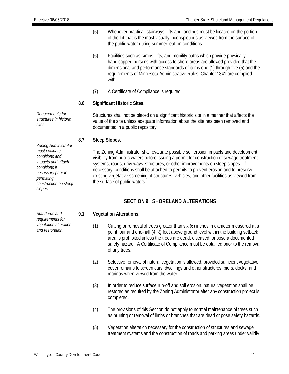|                                                                                                                                                |                                                                                                                                                                                                                                                                                                                                                                                                                                                                                                 | (5) | Whenever practical, stairways, lifts and landings must be located on the portion<br>of the lot that is the most visually inconspicuous as viewed from the surface of<br>the public water during summer leaf-on conditions.                                                                                                                                    |  |  |  |
|------------------------------------------------------------------------------------------------------------------------------------------------|-------------------------------------------------------------------------------------------------------------------------------------------------------------------------------------------------------------------------------------------------------------------------------------------------------------------------------------------------------------------------------------------------------------------------------------------------------------------------------------------------|-----|---------------------------------------------------------------------------------------------------------------------------------------------------------------------------------------------------------------------------------------------------------------------------------------------------------------------------------------------------------------|--|--|--|
|                                                                                                                                                |                                                                                                                                                                                                                                                                                                                                                                                                                                                                                                 | (6) | Facilities such as ramps, lifts, and mobility paths which provide physically<br>handicapped persons with access to shore areas are allowed provided that the<br>dimensional and performance standards of items one (1) through five (5) and the<br>requirements of Minnesota Administrative Rules, Chapter 1341 are complied<br>with.                         |  |  |  |
|                                                                                                                                                |                                                                                                                                                                                                                                                                                                                                                                                                                                                                                                 | (7) | A Certificate of Compliance is required.                                                                                                                                                                                                                                                                                                                      |  |  |  |
|                                                                                                                                                | 8.6                                                                                                                                                                                                                                                                                                                                                                                                                                                                                             |     | <b>Significant Historic Sites.</b>                                                                                                                                                                                                                                                                                                                            |  |  |  |
| Requirements for<br>structures in historic<br>sites.                                                                                           |                                                                                                                                                                                                                                                                                                                                                                                                                                                                                                 |     | Structures shall not be placed on a significant historic site in a manner that affects the<br>value of the site unless adequate information about the site has been removed and<br>documented in a public repository.                                                                                                                                         |  |  |  |
| Zoning Administrator                                                                                                                           | 8.7                                                                                                                                                                                                                                                                                                                                                                                                                                                                                             |     | Steep Slopes.                                                                                                                                                                                                                                                                                                                                                 |  |  |  |
| must evaluate<br>conditions and<br>impacts and attach<br>conditions if<br>necessary prior to<br>permitting<br>construction on steep<br>slopes. | The Zoning Administrator shall evaluate possible soil erosion impacts and development<br>visibility from public waters before issuing a permit for construction of sewage treatment<br>systems, roads, driveways, structures, or other improvements on steep slopes. If<br>necessary, conditions shall be attached to permits to prevent erosion and to preserve<br>existing vegetative screening of structures, vehicles, and other facilities as viewed from<br>the surface of public waters. |     |                                                                                                                                                                                                                                                                                                                                                               |  |  |  |
|                                                                                                                                                |                                                                                                                                                                                                                                                                                                                                                                                                                                                                                                 |     | <b>SECTION 9. SHORELAND ALTERATIONS</b>                                                                                                                                                                                                                                                                                                                       |  |  |  |
| Standards and<br>requirements for                                                                                                              | 9.1                                                                                                                                                                                                                                                                                                                                                                                                                                                                                             |     | <b>Vegetation Alterations.</b>                                                                                                                                                                                                                                                                                                                                |  |  |  |
| vegetation alteration<br>and restoration.                                                                                                      |                                                                                                                                                                                                                                                                                                                                                                                                                                                                                                 | (1) | Cutting or removal of trees greater than six (6) inches in diameter measured at a<br>point four and one-half (4 1/2) feet above ground level within the building setback<br>area is prohibited unless the trees are dead, diseased, or pose a documented<br>safety hazard. A Certificate of Compliance must be obtained prior to the removal<br>of any trees. |  |  |  |
|                                                                                                                                                |                                                                                                                                                                                                                                                                                                                                                                                                                                                                                                 | (2) | Selective removal of natural vegetation is allowed, provided sufficient vegetative<br>cover remains to screen cars, dwellings and other structures, piers, docks, and<br>marinas when viewed from the water.                                                                                                                                                  |  |  |  |
|                                                                                                                                                |                                                                                                                                                                                                                                                                                                                                                                                                                                                                                                 | (3) | In order to reduce surface run-off and soil erosion, natural vegetation shall be<br>restored as required by the Zoning Administrator after any construction project is<br>completed.                                                                                                                                                                          |  |  |  |
|                                                                                                                                                |                                                                                                                                                                                                                                                                                                                                                                                                                                                                                                 | (4) | The provisions of this Section do not apply to normal maintenance of trees such<br>as pruning or removal of limbs or branches that are dead or pose safety hazards.                                                                                                                                                                                           |  |  |  |
|                                                                                                                                                |                                                                                                                                                                                                                                                                                                                                                                                                                                                                                                 | (5) | Vegetation alteration necessary for the construction of structures and sewage<br>treatment systems and the construction of roads and parking areas under validly                                                                                                                                                                                              |  |  |  |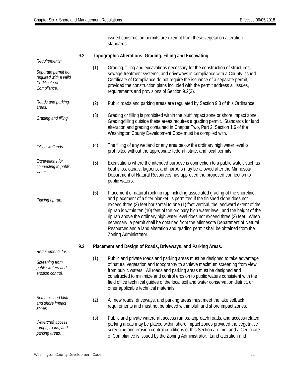|                                                                               |     |     | issued construction permits are exempt from these vegetation alteration<br>standards.                                                                                                                                                                                                                                                                                                                                                                                                                                                                                                                                                 |
|-------------------------------------------------------------------------------|-----|-----|---------------------------------------------------------------------------------------------------------------------------------------------------------------------------------------------------------------------------------------------------------------------------------------------------------------------------------------------------------------------------------------------------------------------------------------------------------------------------------------------------------------------------------------------------------------------------------------------------------------------------------------|
| Requirements:                                                                 | 9.2 |     | Topographic Alterations: Grading, Filling and Excavating.                                                                                                                                                                                                                                                                                                                                                                                                                                                                                                                                                                             |
| Separate permit not<br>required with a valid<br>Certificate of<br>Compliance. |     | (1) | Grading, filling and excavations necessary for the construction of structures,<br>sewage treatment systems, and driveways in compliance with a County issued<br>Certificate of Compliance do not require the issuance of a separate permit,<br>provided the construction plans included with the permit address all issues,<br>requirements and provisions of Section 9.2(3).                                                                                                                                                                                                                                                         |
| Roads and parking<br>areas.                                                   |     | (2) | Public roads and parking areas are regulated by Section 9.3 of this Ordinance.                                                                                                                                                                                                                                                                                                                                                                                                                                                                                                                                                        |
| Grading and filling.                                                          |     | (3) | Grading or filling is prohibited within the bluff impact zone or shore impact zone.<br>Grading/filling outside these areas requires a grading permit. Standards for land<br>alteration and grading contained in Chapter Two, Part 2, Section 1.6 of the<br>Washington County Development Code must be complied with.                                                                                                                                                                                                                                                                                                                  |
| Filling wetlands.                                                             |     | (4) | The filling of any wetland or any area below the ordinary high water level is<br>prohibited without the appropriate federal, state, and local permits.                                                                                                                                                                                                                                                                                                                                                                                                                                                                                |
| Excavations for<br>(5)<br>connecting to public<br>water.                      |     |     | Excavations where the intended purpose is connection to a public water, such as<br>boat slips, canals, lagoons, and harbors may be allowed after the Minnesota<br>Department of Natural Resources has approved the proposed connection to<br>public waters.                                                                                                                                                                                                                                                                                                                                                                           |
| (6)<br>Placing rip rap.                                                       |     |     | Placement of natural rock rip rap including associated grading of the shoreline<br>and placement of a filter blanket, is permitted if the finished slope does not<br>exceed three (3) feet horizontal to one (1) foot vertical, the landward extent of the<br>rip rap is within ten (10) feet of the ordinary high water level, and the height of the<br>rip rap above the ordinary high water level does not exceed three (3) feet. When<br>necessary, a permit shall be obtained from the Minnesota Department of Natural<br>Resources and a land alteration and grading permit shall be obtained from the<br>Zoning Administrator. |
| Requirements for:                                                             | 9.3 |     | Placement and Design of Roads, Driveways, and Parking Areas.                                                                                                                                                                                                                                                                                                                                                                                                                                                                                                                                                                          |
| Screening from<br>public waters and<br>erosion control.                       |     | (1) | Public and private roads and parking areas must be designed to take advantage<br>of natural vegetation and topography to achieve maximum screening from view<br>from public waters. All roads and parking areas must be designed and<br>constructed to minimize and control erosion to public waters consistent with the<br>field office technical guides of the local soil and water conservation district, or<br>other applicable technical materials.                                                                                                                                                                              |
| Setbacks and bluff<br>and shore impact<br>zones.                              |     | (2) | All new roads, driveways, and parking areas must meet the lake setback<br>requirements and must not be placed within bluff and shore impact zones.                                                                                                                                                                                                                                                                                                                                                                                                                                                                                    |
| Watercraft access<br>ramps, roads, and<br>parking areas.                      |     | (3) | Public and private watercraft access ramps, approach roads, and access-related<br>parking areas may be placed within shore impact zones provided the vegetative<br>screening and erosion control conditions of this Section are met and a Certificate<br>of Compliance is issued by the Zoning Administrator. Land alteration and                                                                                                                                                                                                                                                                                                     |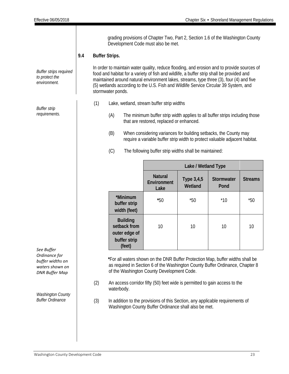| <b>Buffer strips required</b><br>to protect the<br>environment.               | 9.4 | grading provisions of Chapter Two, Part 2, Section 1.6 of the Washington County<br>Development Code must also be met.<br><b>Buffer Strips.</b><br>In order to maintain water quality, reduce flooding, and erosion and to provide sources of<br>food and habitat for a variety of fish and wildlife, a buffer strip shall be provided and<br>maintained around natural environment lakes, streams, type three (3), four (4) and five<br>(5) wetlands according to the U.S. Fish and Wildlife Service Circular 39 System, and |                                                                                                                                                                                                                                    |                                                                            |                                                                                                                                                                                                                                                                                                                                                                                   |                       |                    |                |
|-------------------------------------------------------------------------------|-----|------------------------------------------------------------------------------------------------------------------------------------------------------------------------------------------------------------------------------------------------------------------------------------------------------------------------------------------------------------------------------------------------------------------------------------------------------------------------------------------------------------------------------|------------------------------------------------------------------------------------------------------------------------------------------------------------------------------------------------------------------------------------|----------------------------------------------------------------------------|-----------------------------------------------------------------------------------------------------------------------------------------------------------------------------------------------------------------------------------------------------------------------------------------------------------------------------------------------------------------------------------|-----------------------|--------------------|----------------|
|                                                                               |     |                                                                                                                                                                                                                                                                                                                                                                                                                                                                                                                              | stormwater ponds.                                                                                                                                                                                                                  |                                                                            |                                                                                                                                                                                                                                                                                                                                                                                   |                       |                    |                |
| <b>Buffer strip</b><br>requirements.                                          |     | (1)                                                                                                                                                                                                                                                                                                                                                                                                                                                                                                                          | (A)<br>(B)<br>(C)                                                                                                                                                                                                                  |                                                                            | Lake, wetland, stream buffer strip widths<br>The minimum buffer strip width applies to all buffer strips including those<br>that are restored, replaced or enhanced.<br>When considering variances for building setbacks, the County may<br>require a variable buffer strip width to protect valuable adjacent habitat.<br>The following buffer strip widths shall be maintained: |                       |                    |                |
|                                                                               |     |                                                                                                                                                                                                                                                                                                                                                                                                                                                                                                                              |                                                                                                                                                                                                                                    |                                                                            |                                                                                                                                                                                                                                                                                                                                                                                   | Lake / Wetland Type   |                    |                |
|                                                                               |     |                                                                                                                                                                                                                                                                                                                                                                                                                                                                                                                              |                                                                                                                                                                                                                                    |                                                                            | <b>Natural</b><br>Environment<br>Lake                                                                                                                                                                                                                                                                                                                                             | Type 3,4,5<br>Wetland | Stormwater<br>Pond | <b>Streams</b> |
|                                                                               |     |                                                                                                                                                                                                                                                                                                                                                                                                                                                                                                                              |                                                                                                                                                                                                                                    | *Minimum<br>buffer strip<br>width (feet)                                   | $*50$                                                                                                                                                                                                                                                                                                                                                                             | $*50$                 | $*10$              | $*50$          |
| See Buffer                                                                    |     |                                                                                                                                                                                                                                                                                                                                                                                                                                                                                                                              |                                                                                                                                                                                                                                    | <b>Building</b><br>setback from<br>outer edge of<br>buffer strip<br>(feet) | 10                                                                                                                                                                                                                                                                                                                                                                                | 10                    | 10                 | 10             |
| Ordinance for<br>buffer widths on<br>waters shown on<br><b>DNR Buffer Map</b> |     |                                                                                                                                                                                                                                                                                                                                                                                                                                                                                                                              |                                                                                                                                                                                                                                    | of the Washington County Development Code.                                 | *For all waters shown on the DNR Buffer Protection Map, buffer widths shall be<br>as required in Section 6 of the Washington County Buffer Ordinance, Chapter 8                                                                                                                                                                                                                   |                       |                    |                |
| <b>Washington County</b><br><b>Buffer Ordinance</b>                           |     | (2)<br>(3)                                                                                                                                                                                                                                                                                                                                                                                                                                                                                                                   | An access corridor fifty (50) feet wide is permitted to gain access to the<br>waterbody.<br>In addition to the provisions of this Section, any applicable requirements of<br>Washington County Buffer Ordinance shall also be met. |                                                                            |                                                                                                                                                                                                                                                                                                                                                                                   |                       |                    |                |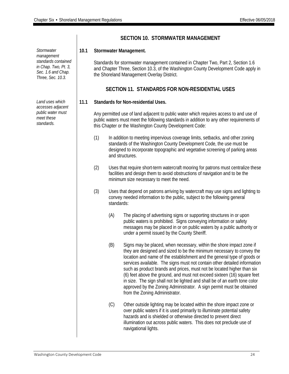*Stormwater management standards contained in Chap. Two, Pt. 3, Sec. 1.6 and Chap. Three, Sec. 10.3.*

*Land uses which accesses adjacent public water must meet these standards.*

# **SECTION 10. STORMWATER MANAGEMENT**

# **10.1 Stormwater Management.**

Standards for stormwater management contained in Chapter Two, Part 2, Section 1.6 and Chapter Three, Section 10.3, of the Washington County Development Code apply in the Shoreland Management Overlay District.

# **SECTION 11. STANDARDS FOR NON-RESIDENTIAL USES**

# **11.1 Standards for Non-residential Uses.**

Any permitted use of land adjacent to public water which requires access to and use of public waters must meet the following standards in addition to any other requirements of this Chapter or the Washington County Development Code:

- (1) In addition to meeting impervious coverage limits, setbacks, and other zoning standards of the Washington County Development Code, the use must be designed to incorporate topographic and vegetative screening of parking areas and structures.
- (2) Uses that require short-term watercraft mooring for patrons must centralize these facilities and design them to avoid obstructions of navigation and to be the minimum size necessary to meet the need.
- (3) Uses that depend on patrons arriving by watercraft may use signs and lighting to convey needed information to the public, subject to the following general standards:
	- (A) The placing of advertising signs or supporting structures in or upon public waters is prohibited. Signs conveying information or safety messages may be placed in or on public waters by a public authority or under a permit issued by the County Sheriff.
	- (B) Signs may be placed, when necessary, within the shore impact zone if they are designed and sized to be the minimum necessary to convey the location and name of the establishment and the general type of goods or services available. The signs must not contain other detailed information such as product brands and prices, must not be located higher than six (6) feet above the ground, and must not exceed sixteen (16) square feet in size. The sign shall not be lighted and shall be of an earth tone color approved by the Zoning Administrator. A sign permit must be obtained from the Zoning Administrator.
	- (C) Other outside lighting may be located within the shore impact zone or over public waters if it is used primarily to illuminate potential safety hazards and is shielded or otherwise directed to prevent direct illumination out across public waters. This does not preclude use of navigational lights.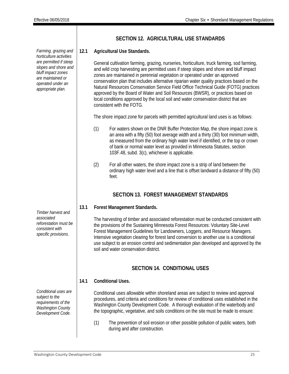**SECTION 12. AGRICULTURAL USE STANDARDS 12.1 Agricultural Use Standards.** General cultivation farming, grazing, nurseries, horticulture, truck farming, sod farming, and wild crop harvesting are permitted uses if steep slopes and shore and bluff impact zones are maintained in perennial vegetation or operated under an approved conservation plan that includes alternative riparian water quality practices based on the Natural Resources Conservation Service Field Office Technical Guide (FOTG) practices approved by the Board of Water and Soil Resources (BWSR), or practices based on local conditions approved by the local soil and water conservation district that are consistent with the FOTG. The shore impact zone for parcels with permitted agricultural land uses is as follows: (1) For waters shown on the DNR Buffer Protection Map, the shore impact zone is an area with a fifty (50) foot average width and a thirty (30) foot minimum width, as measured from the ordinary high water level if identified, or the top or crown of bank or normal water level as provided in Minnesota Statutes, section 103F.48, subd. 3(c), whichever is applicable. (2) For all other waters, the shore impact zone is a strip of land between the ordinary high water level and a line that is offset landward a distance of fifty (50) feet. **SECTION 13. FOREST MANAGEMENT STANDARDS 13.1 Forest Management Standards.** The harvesting of timber and associated reforestation must be conducted consistent with the provisions of the Sustaining Minnesota Forest Resources: Voluntary Site-Level Forest Management Guidelines for Landowners, Loggers, and Resource Managers. Intensive vegetation clearing for forest land conversion to another use is a conditional use subject to an erosion control and sedimentation plan developed and approved by the soil and water conservation district. **SECTION 14. CONDITIONAL USES 14.1 Conditional Uses.** Conditional uses allowable within shoreland areas are subject to review and approval procedures, and criteria and conditions for review of conditional uses established in the Washington County Development Code. A thorough evaluation of the waterbody and the topographic, vegetative, and soils conditions on the site must be made to ensure:

> (1) The prevention of soil erosion or other possible pollution of public waters, both during and after construction.

*Farming, grazing and horticulture activities are permitted if steep slopes and shore and bluff impact zones are maintained or operated under an appropriate plan.*

*Timber harvest and associated reforestation must be consistent with specific provisions.*

*Conditional uses are subject to the requirements of the Washington County Development Code.*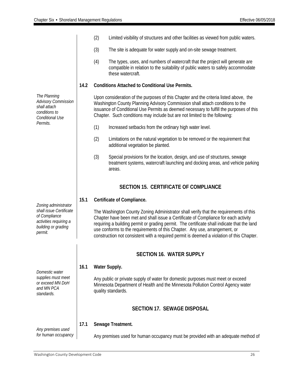|                                                                                                                              |      | (2) | Limited visibility of structures and other facilities as viewed from public waters.                                                                                                                                                                                                                                                                                                                                                                    |
|------------------------------------------------------------------------------------------------------------------------------|------|-----|--------------------------------------------------------------------------------------------------------------------------------------------------------------------------------------------------------------------------------------------------------------------------------------------------------------------------------------------------------------------------------------------------------------------------------------------------------|
|                                                                                                                              |      | (3) | The site is adequate for water supply and on-site sewage treatment.                                                                                                                                                                                                                                                                                                                                                                                    |
|                                                                                                                              |      | (4) | The types, uses, and numbers of watercraft that the project will generate are<br>compatible in relation to the suitability of public waters to safely accommodate<br>these watercraft.                                                                                                                                                                                                                                                                 |
|                                                                                                                              | 14.2 |     | <b>Conditions Attached to Conditional Use Permits.</b>                                                                                                                                                                                                                                                                                                                                                                                                 |
| The Planning<br><b>Advisory Commission</b><br>shall attach<br>conditions to<br>Conditional Use                               |      |     | Upon consideration of the purposes of this Chapter and the criteria listed above, the<br>Washington County Planning Advisory Commission shall attach conditions to the<br>issuance of Conditional Use Permits as deemed necessary to fulfill the purposes of this<br>Chapter. Such conditions may include but are not limited to the following:                                                                                                        |
| Permits.                                                                                                                     |      | (1) | Increased setbacks from the ordinary high water level.                                                                                                                                                                                                                                                                                                                                                                                                 |
|                                                                                                                              |      | (2) | Limitations on the natural vegetation to be removed or the requirement that<br>additional vegetation be planted.                                                                                                                                                                                                                                                                                                                                       |
|                                                                                                                              |      | (3) | Special provisions for the location, design, and use of structures, sewage<br>treatment systems, watercraft launching and docking areas, and vehicle parking<br>areas.                                                                                                                                                                                                                                                                                 |
|                                                                                                                              |      |     | <b>SECTION 15. CERTIFICATE OF COMPLIANCE</b>                                                                                                                                                                                                                                                                                                                                                                                                           |
|                                                                                                                              | 15.1 |     | Certificate of Compliance.                                                                                                                                                                                                                                                                                                                                                                                                                             |
| Zoning administrator<br>shall issue Certificate<br>of Compliance<br>activities requiring a<br>building or grading<br>permit. |      |     | The Washington County Zoning Administrator shall verify that the requirements of this<br>Chapter have been met and shall issue a Certificate of Compliance for each activity<br>requiring a building permit or grading permit. The certificate shall indicate that the land<br>use conforms to the requirements of this Chapter. Any use, arrangement, or<br>construction not consistent with a required permit is deemed a violation of this Chapter. |
|                                                                                                                              |      |     | <b>SECTION 16. WATER SUPPLY</b>                                                                                                                                                                                                                                                                                                                                                                                                                        |
| Domestic water                                                                                                               | 16.1 |     | Water Supply.                                                                                                                                                                                                                                                                                                                                                                                                                                          |
| supplies must meet<br>or exceed MN DoH<br>and MN PCA<br>standards.                                                           |      |     | Any public or private supply of water for domestic purposes must meet or exceed<br>Minnesota Department of Health and the Minnesota Pollution Control Agency water<br>quality standards.                                                                                                                                                                                                                                                               |
|                                                                                                                              |      |     | <b>SECTION 17. SEWAGE DISPOSAL</b>                                                                                                                                                                                                                                                                                                                                                                                                                     |
|                                                                                                                              | 17.1 |     | Sewage Treatment.                                                                                                                                                                                                                                                                                                                                                                                                                                      |
| Any premises used<br>for human occupancy                                                                                     |      |     | Any premises used for human occupancy must be provided with an adequate method of                                                                                                                                                                                                                                                                                                                                                                      |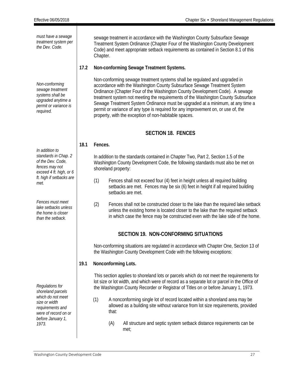*must have a sewage treatment system per the Dev. Code.* sewage treatment in accordance with the Washington County Subsurface Sewage Treatment System Ordinance (Chapter Four of the Washington County Development Code) and meet appropriate setback requirements as contained in Section 8.1 of this Chapter. *Non-conforming sewage treatment systems shall be upgraded anytime a permit or variance is required.* **17.2 Non-conforming Sewage Treatment Systems.** Non-conforming sewage treatment systems shall be regulated and upgraded in accordance with the Washington County Subsurface Sewage Treatment System Ordinance (Chapter Four of the Washington County Development Code). A sewage treatment system not meeting the requirements of the Washington County Subsurface Sewage Treatment System Ordinance must be upgraded at a minimum, at any time a permit or variance of any type is required for any improvement on, or use of, the property, with the exception of non-habitable spaces. **SECTION 18. FENCES** *In addition to standards in Chap. 2 of the Dev. Code, fences may not exceed 4 ft. high, or 6 ft. high if setbacks are met. Fences must meet lake setbacks unless the home is closer than the setback.* **18.1 Fences.** In addition to the standards contained in Chapter Two, Part 2, Section 1.5 of the Washington County Development Code, the following standards must also be met on shoreland property: (1) Fences shall not exceed four (4) feet in height unless all required building setbacks are met. Fences may be six (6) feet in height if all required building setbacks are met. (2) Fences shall not be constructed closer to the lake than the required lake setback unless the existing home is located closer to the lake than the required setback in which case the fence may be constructed even with the lake side of the home. **SECTION 19. NON-CONFORMING SITUATIONS** *Regulations for shoreland parcels which do not meet size or width requirements and were of record on or before January 1, 1973*. Non-conforming situations are regulated in accordance with Chapter One, Section 13 of the Washington County Development Code with the following exceptions: **19.1 Nonconforming Lots.** This section applies to shoreland lots or parcels which do not meet the requirements for lot size or lot width, and which were of record as a separate lot or parcel in the Office of the Washington County Recorder or Registrar of Titles on or before January 1, 1973. (1) A nonconforming single lot of record located within a shoreland area may be allowed as a building site without variance from lot size requirements, provided that: (A) All structure and septic system setback distance requirements can be met;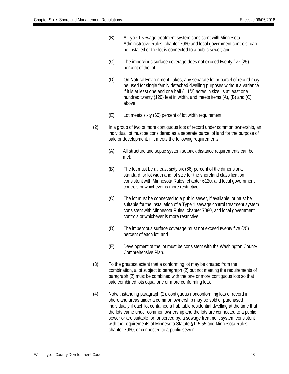|     | (B) | A Type 1 sewage treatment system consistent with Minnesota<br>Administrative Rules, chapter 7080 and local government controls, can<br>be installed or the lot is connected to a public sewer; and                                                                                                                                                                                                                                                                                                                                 |
|-----|-----|------------------------------------------------------------------------------------------------------------------------------------------------------------------------------------------------------------------------------------------------------------------------------------------------------------------------------------------------------------------------------------------------------------------------------------------------------------------------------------------------------------------------------------|
|     | (C) | The impervious surface coverage does not exceed twenty five (25)<br>percent of the lot.                                                                                                                                                                                                                                                                                                                                                                                                                                            |
|     | (D) | On Natural Environment Lakes, any separate lot or parcel of record may<br>be used for single family detached dwelling purposes without a variance<br>if it is at least one and one half (1 1/2) acres in size, is at least one<br>hundred twenty (120) feet in width, and meets items (A), (B) and (C)<br>above.                                                                                                                                                                                                                   |
|     | (E) | Lot meets sixty (60) percent of lot width requirement.                                                                                                                                                                                                                                                                                                                                                                                                                                                                             |
| (2) |     | In a group of two or more contiguous lots of record under common ownership, an<br>individual lot must be considered as a separate parcel of land for the purpose of<br>sale or development, if it meets the following requirements:                                                                                                                                                                                                                                                                                                |
|     | (A) | All structure and septic system setback distance requirements can be<br>met;                                                                                                                                                                                                                                                                                                                                                                                                                                                       |
|     | (B) | The lot must be at least sixty six (66) percent of the dimensional<br>standard for lot width and lot size for the shoreland classification<br>consistent with Minnesota Rules, chapter 6120, and local government<br>controls or whichever is more restrictive;                                                                                                                                                                                                                                                                    |
|     | (C) | The lot must be connected to a public sewer, if available, or must be<br>suitable for the installation of a Type 1 sewage control treatment system<br>consistent with Minnesota Rules, chapter 7080, and local government<br>controls or whichever is more restrictive;                                                                                                                                                                                                                                                            |
|     | (D) | The impervious surface coverage must not exceed twenty five (25)<br>percent of each lot; and                                                                                                                                                                                                                                                                                                                                                                                                                                       |
|     | (E) | Development of the lot must be consistent with the Washington County<br>Comprehensive Plan.                                                                                                                                                                                                                                                                                                                                                                                                                                        |
| (3) |     | To the greatest extent that a conforming lot may be created from the<br>combination, a lot subject to paragraph (2) but not meeting the requirements of<br>paragraph (2) must be combined with the one or more contiguous lots so that<br>said combined lots equal one or more conforming lots.                                                                                                                                                                                                                                    |
| (4) |     | Notwithstanding paragraph (2), contiguous nonconforming lots of record in<br>shoreland areas under a common ownership may be sold or purchased<br>individually if each lot contained a habitable residential dwelling at the time that<br>the lots came under common ownership and the lots are connected to a public<br>sewer or are suitable for, or served by, a sewage treatment system consistent<br>with the requirements of Minnesota Statute §115.55 and Minnesota Rules,<br>chapter 7080, or connected to a public sewer. |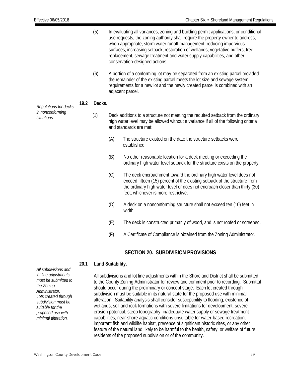|                                                                                                                                                                                              |      | (5)    | In evaluating all variances, zoning and building permit applications, or conditional<br>use requests, the zoning authority shall require the property owner to address,<br>when appropriate, storm water runoff management, reducing impervious<br>surfaces, increasing setback, restoration of wetlands, vegetative buffers, tree<br>replacement, sewage treatment and water supply capabilities, and other<br>conservation-designed actions. |                                                                                                                                                                                                                                                                                                                                                                                                                                                                                                                                                                                                                                      |  |  |  |
|----------------------------------------------------------------------------------------------------------------------------------------------------------------------------------------------|------|--------|------------------------------------------------------------------------------------------------------------------------------------------------------------------------------------------------------------------------------------------------------------------------------------------------------------------------------------------------------------------------------------------------------------------------------------------------|--------------------------------------------------------------------------------------------------------------------------------------------------------------------------------------------------------------------------------------------------------------------------------------------------------------------------------------------------------------------------------------------------------------------------------------------------------------------------------------------------------------------------------------------------------------------------------------------------------------------------------------|--|--|--|
|                                                                                                                                                                                              |      | (6)    |                                                                                                                                                                                                                                                                                                                                                                                                                                                | A portion of a conforming lot may be separated from an existing parcel provided<br>the remainder of the existing parcel meets the lot size and sewage system<br>requirements for a new lot and the newly created parcel is combined with an<br>adjacent parcel.                                                                                                                                                                                                                                                                                                                                                                      |  |  |  |
| Regulations for decks<br>in nonconforming<br>situations.                                                                                                                                     | 19.2 | Decks. |                                                                                                                                                                                                                                                                                                                                                                                                                                                |                                                                                                                                                                                                                                                                                                                                                                                                                                                                                                                                                                                                                                      |  |  |  |
|                                                                                                                                                                                              |      | (1)    | Deck additions to a structure not meeting the required setback from the ordinary<br>high water level may be allowed without a variance if all of the following criteria<br>and standards are met:                                                                                                                                                                                                                                              |                                                                                                                                                                                                                                                                                                                                                                                                                                                                                                                                                                                                                                      |  |  |  |
|                                                                                                                                                                                              |      |        | (A)                                                                                                                                                                                                                                                                                                                                                                                                                                            | The structure existed on the date the structure setbacks were<br>established.                                                                                                                                                                                                                                                                                                                                                                                                                                                                                                                                                        |  |  |  |
|                                                                                                                                                                                              |      |        | (B)                                                                                                                                                                                                                                                                                                                                                                                                                                            | No other reasonable location for a deck meeting or exceeding the<br>ordinary high water level setback for the structure exists on the property.                                                                                                                                                                                                                                                                                                                                                                                                                                                                                      |  |  |  |
|                                                                                                                                                                                              |      |        | (C)                                                                                                                                                                                                                                                                                                                                                                                                                                            | The deck encroachment toward the ordinary high water level does not<br>exceed fifteen (15) percent of the existing setback of the structure from<br>the ordinary high water level or does not encroach closer than thirty (30)<br>feet, whichever is more restrictive.                                                                                                                                                                                                                                                                                                                                                               |  |  |  |
|                                                                                                                                                                                              |      |        | (D)                                                                                                                                                                                                                                                                                                                                                                                                                                            | A deck on a nonconforming structure shall not exceed ten (10) feet in<br>width.                                                                                                                                                                                                                                                                                                                                                                                                                                                                                                                                                      |  |  |  |
|                                                                                                                                                                                              |      |        | (E)                                                                                                                                                                                                                                                                                                                                                                                                                                            | The deck is constructed primarily of wood, and is not roofed or screened.                                                                                                                                                                                                                                                                                                                                                                                                                                                                                                                                                            |  |  |  |
|                                                                                                                                                                                              |      |        | (F)                                                                                                                                                                                                                                                                                                                                                                                                                                            | A Certificate of Compliance is obtained from the Zoning Administrator.                                                                                                                                                                                                                                                                                                                                                                                                                                                                                                                                                               |  |  |  |
|                                                                                                                                                                                              |      |        |                                                                                                                                                                                                                                                                                                                                                                                                                                                | <b>SECTION 20. SUBDIVISION PROVISIONS</b>                                                                                                                                                                                                                                                                                                                                                                                                                                                                                                                                                                                            |  |  |  |
|                                                                                                                                                                                              | 20.1 |        | Land Suitability.                                                                                                                                                                                                                                                                                                                                                                                                                              |                                                                                                                                                                                                                                                                                                                                                                                                                                                                                                                                                                                                                                      |  |  |  |
| All subdivisions and<br>lot line adjustments<br>must be submitted to<br>the Zoning<br>Administrator.<br>Lots created through<br>subdivision must be<br>suitable for the<br>proposed use with |      |        |                                                                                                                                                                                                                                                                                                                                                                                                                                                | All subdivisions and lot line adjustments within the Shoreland District shall be submitted<br>to the County Zoning Administrator for review and comment prior to recording. Submittal<br>should occur during the preliminary or concept stage. Each lot created through<br>subdivision must be suitable in its natural state for the proposed use with minimal<br>alteration. Suitability analysis shall consider susceptibility to flooding, existence of<br>wetlands, soil and rock formations with severe limitations for development, severe<br>erosion potential, steep topography, inadequate water supply or sewage treatment |  |  |  |

capabilities, near-shore aquatic conditions unsuitable for water-based recreation, important fish and wildlife habitat, presence of significant historic sites, or any other feature of the natural land likely to be harmful to the health, safety, or welfare of future residents of the proposed subdivision or of the community.

*minimal alteration.*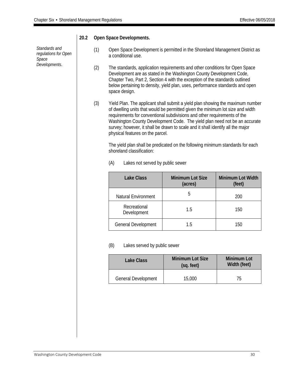|                                                                 | ZV.Z | Open Space Developments. |                                                                                                                                                                                                                                                                                                                                                                                                                                                   |                                                                                                                                                                                                                                                                                                                     |                                    |  |  |  |  |
|-----------------------------------------------------------------|------|--------------------------|---------------------------------------------------------------------------------------------------------------------------------------------------------------------------------------------------------------------------------------------------------------------------------------------------------------------------------------------------------------------------------------------------------------------------------------------------|---------------------------------------------------------------------------------------------------------------------------------------------------------------------------------------------------------------------------------------------------------------------------------------------------------------------|------------------------------------|--|--|--|--|
| Standards and<br>regulations for Open<br>Space<br>Developments. |      | (1)                      | Open Space Development is permitted in the Shoreland Management District as<br>a conditional use.                                                                                                                                                                                                                                                                                                                                                 |                                                                                                                                                                                                                                                                                                                     |                                    |  |  |  |  |
|                                                                 |      | (2)                      | space design.                                                                                                                                                                                                                                                                                                                                                                                                                                     | The standards, application requirements and other conditions for Open Space<br>Development are as stated in the Washington County Development Code,<br>Chapter Two, Part 2, Section 4 with the exception of the standards outlined<br>below pertaining to density, yield plan, uses, performance standards and open |                                    |  |  |  |  |
|                                                                 |      | (3)                      | Yield Plan. The applicant shall submit a yield plan showing the maximum number<br>of dwelling units that would be permitted given the minimum lot size and width<br>requirements for conventional subdivisions and other requirements of the<br>Washington County Development Code. The yield plan need not be an accurate<br>survey; however, it shall be drawn to scale and it shall identify all the major<br>physical features on the parcel. |                                                                                                                                                                                                                                                                                                                     |                                    |  |  |  |  |
|                                                                 |      |                          | The yield plan shall be predicated on the following minimum standards for each<br>shoreland classification:                                                                                                                                                                                                                                                                                                                                       |                                                                                                                                                                                                                                                                                                                     |                                    |  |  |  |  |
|                                                                 |      |                          | (A)<br>Lakes not served by public sewer                                                                                                                                                                                                                                                                                                                                                                                                           |                                                                                                                                                                                                                                                                                                                     |                                    |  |  |  |  |
|                                                                 |      |                          | <b>Lake Class</b>                                                                                                                                                                                                                                                                                                                                                                                                                                 | Minimum Lot Size<br>(acres)                                                                                                                                                                                                                                                                                         | Minimum Lot Width<br>(feet)        |  |  |  |  |
|                                                                 |      |                          | Natural Environment                                                                                                                                                                                                                                                                                                                                                                                                                               | 5                                                                                                                                                                                                                                                                                                                   | 200                                |  |  |  |  |
|                                                                 |      |                          | Recreational<br>Development                                                                                                                                                                                                                                                                                                                                                                                                                       | 1.5                                                                                                                                                                                                                                                                                                                 | 150                                |  |  |  |  |
|                                                                 |      |                          | General Development                                                                                                                                                                                                                                                                                                                                                                                                                               | 1.5                                                                                                                                                                                                                                                                                                                 | 150                                |  |  |  |  |
|                                                                 |      |                          | (B)<br>Lakes served by public sewer                                                                                                                                                                                                                                                                                                                                                                                                               |                                                                                                                                                                                                                                                                                                                     |                                    |  |  |  |  |
|                                                                 |      |                          | <b>Lake Class</b>                                                                                                                                                                                                                                                                                                                                                                                                                                 | <b>Minimum Lot Size</b><br>(sq. feet)                                                                                                                                                                                                                                                                               | <b>Minimum Lot</b><br>Width (feet) |  |  |  |  |
|                                                                 |      |                          | General Development                                                                                                                                                                                                                                                                                                                                                                                                                               | 15,000                                                                                                                                                                                                                                                                                                              | 75                                 |  |  |  |  |
|                                                                 |      |                          |                                                                                                                                                                                                                                                                                                                                                                                                                                                   |                                                                                                                                                                                                                                                                                                                     |                                    |  |  |  |  |
|                                                                 |      |                          |                                                                                                                                                                                                                                                                                                                                                                                                                                                   |                                                                                                                                                                                                                                                                                                                     |                                    |  |  |  |  |

# **20.2 Open Space Developments.**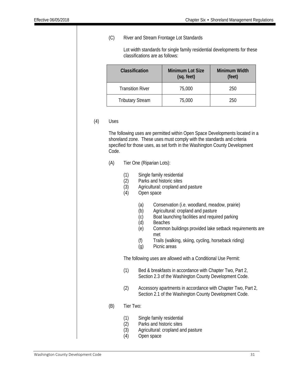# (C) River and Stream Frontage Lot Standards

Lot width standards for single family residential developments for these classifications are as follows:

| Classification          | <b>Minimum Lot Size</b><br>(sq. feet) | <b>Minimum Width</b><br>(feet) |
|-------------------------|---------------------------------------|--------------------------------|
| <b>Transition River</b> | 75,000                                | 250                            |
| <b>Tributary Stream</b> | 75,000                                | 250                            |

#### (4) Uses

The following uses are permitted within Open Space Developments located in a shoreland zone. These uses must comply with the standards and criteria specified for those uses, as set forth in the Washington County Development Code.

- (A) Tier One (Riparian Lots):
	- (1) Single family residential
	- (2) Parks and historic sites<br>(3) Agricultural: cropland are
	- Agricultural: cropland and pasture
	- (4) Open space
		- (a) Conservation (i.e. woodland, meadow, prairie)
		- (b) Agricultural: cropland and pasture
		- (c) Boat launching facilities and required parking
		- (d) Beaches
		- (e) Common buildings provided lake setback requirements are met
		- (f) Trails (walking, skiing, cycling, horseback riding)
		- (g) Picnic areas

The following uses are allowed with a Conditional Use Permit:

- (1) Bed & breakfasts in accordance with Chapter Two, Part 2, Section 2.3 of the Washington County Development Code.
- (2) Accessory apartments in accordance with Chapter Two, Part 2, Section 2.1 of the Washington County Development Code.
- (B) Tier Two:
	- (1) Single family residential
	- (2) Parks and historic sites
	- (3) Agricultural: cropland and pasture
	- (4) Open space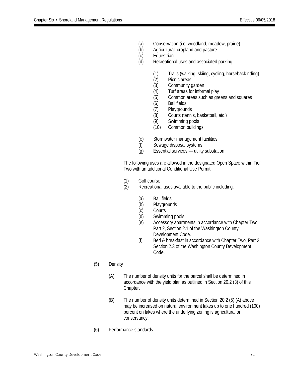|     |         |                       | (a)<br>(b)<br>(c)<br>(d)                                                                                                  | Equestrian                                                                                                                                                                                                                                                                                                                                                      | Conservation (i.e. woodland, meadow, prairie)<br>Agricultural: cropland and pasture<br>Recreational uses and associated parking                                                                                                                                                    |  |
|-----|---------|-----------------------|---------------------------------------------------------------------------------------------------------------------------|-----------------------------------------------------------------------------------------------------------------------------------------------------------------------------------------------------------------------------------------------------------------------------------------------------------------------------------------------------------------|------------------------------------------------------------------------------------------------------------------------------------------------------------------------------------------------------------------------------------------------------------------------------------|--|
|     |         |                       |                                                                                                                           | (1)<br>(2)<br>(3)<br>(4)<br>(5)<br>(6)<br>(7)<br>(8)<br>(9)<br>(10)                                                                                                                                                                                                                                                                                             | Trails (walking, skiing, cycling, horseback riding)<br>Picnic areas<br>Community garden<br>Turf areas for informal play<br>Common areas such as greens and squares<br><b>Ball fields</b><br>Playgrounds<br>Courts (tennis, basketball, etc.)<br>Swimming pools<br>Common buildings |  |
|     |         |                       | (e)<br>(f)<br>(g)                                                                                                         | Stormwater management facilities<br>Sewage disposal systems<br>Essential services - utility substation                                                                                                                                                                                                                                                          |                                                                                                                                                                                                                                                                                    |  |
|     |         |                       | The following uses are allowed in the designated Open Space within Tier<br>Two with an additional Conditional Use Permit: |                                                                                                                                                                                                                                                                                                                                                                 |                                                                                                                                                                                                                                                                                    |  |
|     |         | (1)<br>(2)            | Golf course                                                                                                               | Recreational uses available to the public including:                                                                                                                                                                                                                                                                                                            |                                                                                                                                                                                                                                                                                    |  |
|     |         |                       | (a)<br>(b)<br>(c)<br>(d)<br>(e)<br>(f)                                                                                    | <b>Ball fields</b><br>Playgrounds<br>Courts<br>Code.                                                                                                                                                                                                                                                                                                            | Swimming pools<br>Accessory apartments in accordance with Chapter Two,<br>Part 2, Section 2.1 of the Washington County<br>Development Code.<br>Bed & breakfast in accordance with Chapter Two, Part 2,<br>Section 2.3 of the Washington County Development                         |  |
| (5) | Density |                       |                                                                                                                           |                                                                                                                                                                                                                                                                                                                                                                 |                                                                                                                                                                                                                                                                                    |  |
|     | (A)     | Chapter.              |                                                                                                                           | The number of density units for the parcel shall be determined in<br>accordance with the yield plan as outlined in Section 20.2 (3) of this<br>The number of density units determined in Section 20.2 (5) (A) above<br>may be increased on natural environment lakes up to one hundred (100)<br>percent on lakes where the underlying zoning is agricultural or |                                                                                                                                                                                                                                                                                    |  |
|     | (B)     |                       | conservancy.                                                                                                              |                                                                                                                                                                                                                                                                                                                                                                 |                                                                                                                                                                                                                                                                                    |  |
| (6) |         | Performance standards |                                                                                                                           |                                                                                                                                                                                                                                                                                                                                                                 |                                                                                                                                                                                                                                                                                    |  |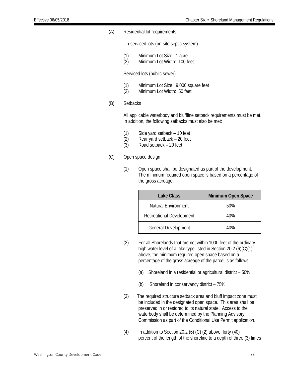| (A) | Residential lot requirements |                                                                                                                                                                                                                                                                                                                           |                    |  |  |  |  |  |
|-----|------------------------------|---------------------------------------------------------------------------------------------------------------------------------------------------------------------------------------------------------------------------------------------------------------------------------------------------------------------------|--------------------|--|--|--|--|--|
|     |                              | Un-serviced lots (on-site septic system)                                                                                                                                                                                                                                                                                  |                    |  |  |  |  |  |
|     | (1)<br>(2)                   | Minimum Lot Size: 1 acre<br>Minimum Lot Width: 100 feet                                                                                                                                                                                                                                                                   |                    |  |  |  |  |  |
|     | Serviced lots (public sewer) |                                                                                                                                                                                                                                                                                                                           |                    |  |  |  |  |  |
|     | (1)<br>(2)                   | Minimum Lot Size: 9,000 square feet<br>Minimum Lot Width: 50 feet                                                                                                                                                                                                                                                         |                    |  |  |  |  |  |
| (B) | <b>Setbacks</b>              |                                                                                                                                                                                                                                                                                                                           |                    |  |  |  |  |  |
|     |                              | All applicable waterbody and bluffline setback requirements must be met.<br>In addition, the following setbacks must also be met:                                                                                                                                                                                         |                    |  |  |  |  |  |
|     | (1)<br>(2)<br>(3)            | Side yard setback - 10 feet<br>Rear yard setback - 20 feet<br>Road setback - 20 feet                                                                                                                                                                                                                                      |                    |  |  |  |  |  |
| (C) |                              | Open space design                                                                                                                                                                                                                                                                                                         |                    |  |  |  |  |  |
|     | (1)                          | Open space shall be designated as part of the development.<br>The minimum required open space is based on a percentage of<br>the gross acreage:                                                                                                                                                                           |                    |  |  |  |  |  |
|     |                              |                                                                                                                                                                                                                                                                                                                           |                    |  |  |  |  |  |
|     |                              | <b>Lake Class</b>                                                                                                                                                                                                                                                                                                         | Minimum Open Space |  |  |  |  |  |
|     |                              | <b>Natural Environment</b>                                                                                                                                                                                                                                                                                                | 50%                |  |  |  |  |  |
|     |                              | <b>Recreational Development</b>                                                                                                                                                                                                                                                                                           | 40%                |  |  |  |  |  |
|     |                              | <b>General Development</b>                                                                                                                                                                                                                                                                                                | 40%                |  |  |  |  |  |
|     | (2)                          | For all Shorelands that are not within 1000 feet of the ordinary<br>high water level of a lake type listed in Section 20.2 (6)(C)(1)<br>above, the minimum required open space based on a<br>percentage of the gross acreage of the parcel is as follows:                                                                 |                    |  |  |  |  |  |
|     |                              | (a)<br>Shoreland in a residential or agricultural district - 50%                                                                                                                                                                                                                                                          |                    |  |  |  |  |  |
|     |                              | (b)<br>Shoreland in conservancy district - 75%                                                                                                                                                                                                                                                                            |                    |  |  |  |  |  |
|     | (3)                          | The required structure setback area and bluff impact zone must<br>be included in the designated open space. This area shall be<br>preserved in or restored to its natural state. Access to the<br>waterbody shall be determined by the Planning Advisory<br>Commission as part of the Conditional Use Permit application. |                    |  |  |  |  |  |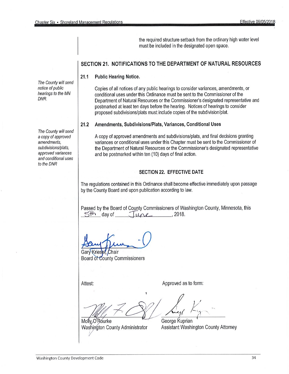the required structure setback from the ordinary high water level must be included in the designated open space.

# SECTION 21. NOTIFICATIONS TO THE DEPARTMENT OF NATURAL RESOURCES

 $21.1$ **Public Hearing Notice.** 

> Copies of all notices of any public hearings to consider variances, amendments, or conditional uses under this Ordinance must be sent to the Commissioner of the Department of Natural Resources or the Commissioner's designated representative and postmarked at least ten days before the hearing. Notices of hearings to consider proposed subdivisions/plats must include copies of the subdivision/plat.

#### $21.2$ Amendments, Subdivisions/Plats, Variances, Conditional Uses

A copy of approved amendments and subdivisions/plats, and final decisions granting variances or conditional uses under this Chapter must be sent to the Commissioner of the Department of Natural Resources or the Commissioner's designated representative and be postmarked within ten (10) days of final action.

## **SECTION 22. EFFECTIVE DATE**

The regulations contained in this Ordinance shall become effective immediately upon passage by the County Board and upon publication according to law.

Passed by the Board of County Commissioners of Washington County, Minnesota, this  $5<sup>th</sup>$  day of  $100$  $2018.$ 

Kries Chair Gan Board of County Commissioners

Attest:

Approved as to form:

Molly O'Rourke Washington County Administrator

George Kuprian Assistant Washington County Attorney

The County will send notice of public hearings to the MN DNR.

The County will send a copy of approved amendments. subdivisions/plats, approved variances and conditional uses to the DNR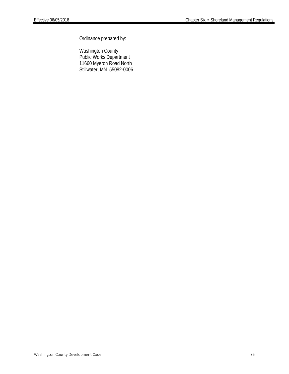Ordinance prepared by:

Washington County Public Works Department 11660 Myeron Road North Stillwater, MN 55082-0006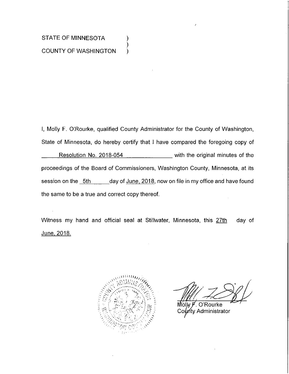# STATE OF MINNESOTA **COUNTY OF WASHINGTON**

I, Molly F. O'Rourke, qualified County Administrator for the County of Washington, State of Minnesota, do hereby certify that I have compared the foregoing copy of Resolution No. 2018-054 \_\_\_\_\_\_\_\_\_\_\_ with the original minutes of the proceedings of the Board of Commissioners, Washington County, Minnesota, at its session on the 5th \_\_\_\_\_\_ day of June, 2018, now on file in my office and have found the same to be a true and correct copy thereof.

).

Witness my hand and official seal at Stillwater, Minnesota, this 27th day of <u>June, 2018.</u>



O'Rourke Molw F ท<sub>ี</sub>ty Administrator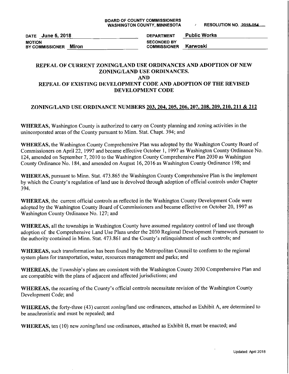DATE June 5, 2018 **MOTION** BY COMMISSIONER Miron

**Public Works DEPARTMENT SECONDED BY** Karwoski **COMMISSIONER** 

## REPEAL OF CURRENT ZONING/LAND USE ORDINANCES AND ADOPTION OF NEW ZONING/LAND USE ORDINANCES. **AND**

# REPEAL OF EXISTING DEVELOPMENT CODE AND ADOPTION OF THE REVISED DEVELOPMENT CODE

# ZONING/LAND USE ORDINANCE NUMBERS 203, 204, 205, 206, 207, 208, 209, 210, 211 & 212

WHEREAS, Washington County is authorized to carry on County planning and zoning activities in the unincorporated areas of the County pursuant to Minn. Stat. Chapt. 394; and

WHEREAS, the Washington County Comprehensive Plan was adopted by the Washington County Board of Commissioners on April 22, 1997 and became effective October 1, 1997 as Washington County Ordinance No. 124, amended on September 7, 2010 to the Washington County Comprehensive Plan 2030 as Washington County Ordinance No. 184, and amended on August 16, 2016 as Washington County Ordinance 198; and

WHEREAS, pursuant to Minn. Stat. 473.865 the Washington County Comprehensive Plan is the implement by which the County's regulation of land use is devolved through adoption of official controls under Chapter 394.

**WHEREAS**, the current official controls as reflected in the Washington County Development Code were adopted by the Washington County Board of Commissioners and became effective on October 20, 1997 as Washington County Ordinance No. 127; and

WHEREAS, all the townships in Washington County have assumed regulatory control of land use through adoption of the Comprehensive Land Use Plans under the 2030 Regional Development Framework pursuant to the authority contained in Minn. Stat. 473.861 and the County's relinquishment of such controls; and

WHEREAS, such transformation has been found by the Metropolitan Council to conform to the regional system plans for transportation, water, resources management and parks; and

WHEREAS, the Township's plans are consistent with the Washington County 2030 Comprehensive Plan and are compatible with the plans of adjacent and affected jurisdictions; and

WHEREAS, the recasting of the County's official controls necessitate revision of the Washington County Development Code; and

WHEREAS, the forty-three (43) current zoning/land use ordinances, attached as Exhibit A, are determined to be anachronistic and must be repealed; and

WHEREAS, ten (10) new zoning/land use ordinances, attached as Exhibit B, must be enacted; and